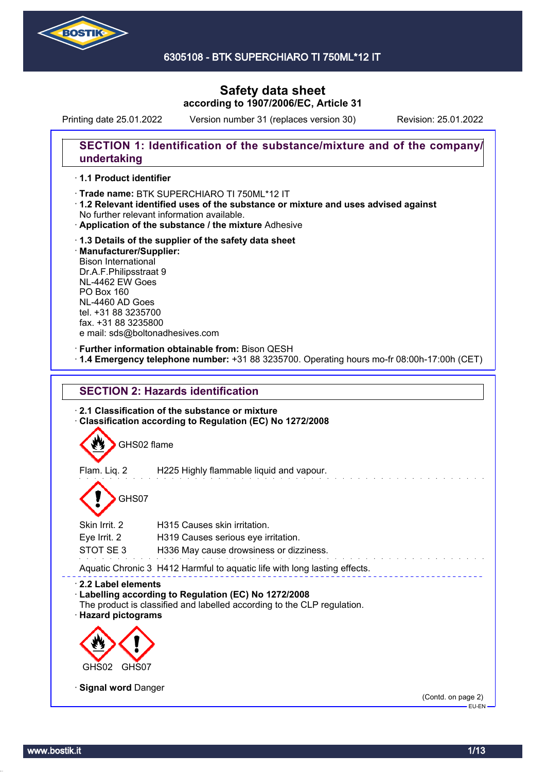

6305108 - BTK SUPERCHIARO TI 750ML\*12 IT

# **Safety data sheet according to 1907/2006/EC, Article 31**

Printing date 25.01.2022 Version number 31 (replaces version 30) Revision: 25.01.2022

### **SECTION 1: Identification of the substance/mixture and of the company/ undertaking**

#### · **1.1 Product identifier**

· Trade name: BTK SUPERCHIARO TI 750ML\*12 IT

- · **1.2 Relevant identified uses of the substance or mixture and uses advised against** No further relevant information available.
- · **Application of the substance / the mixture** Adhesive
- · **1.3 Details of the supplier of the safety data sheet** · **Manufacturer/Supplier:** Bison International Dr.A.F.Philipsstraat 9 NL-4462 EW Goes PO Box 160 NL-4460 AD Goes tel. +31 88 3235700 fax. +31 88 3235800 e mail: sds@boltonadhesives.com

#### · **Further information obtainable from:** Bison QESH

· **1.4 Emergency telephone number:** +31 88 3235700. Operating hours mo-fr 08:00h-17:00h (CET)





Aquatic Chronic 3 H412 Harmful to aquatic life with long lasting effects.

# · **2.2 Label elements**

# · **Labelling according to Regulation (EC) No 1272/2008**

The product is classified and labelled according to the CLP regulation. · **Hazard pictograms**



· **Signal word** Danger

(Contd. on page 2) EU-EN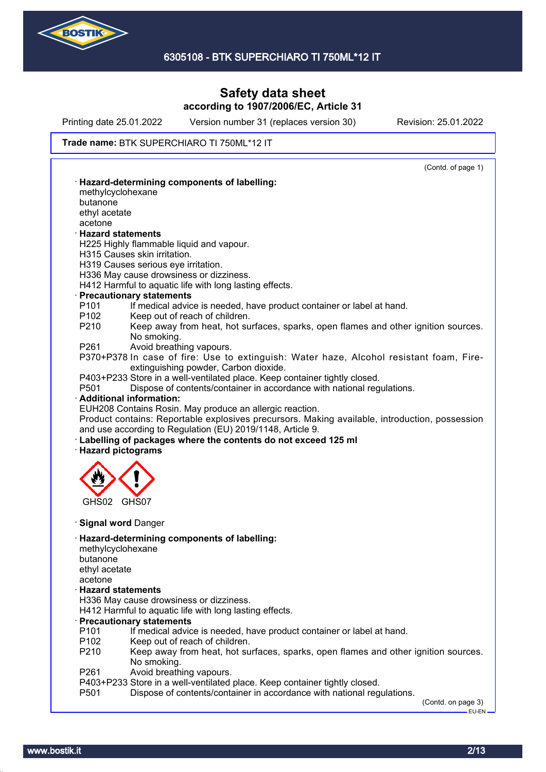

Printing date 25.01.2022 Version number 31 (replaces version 30) Revision: 25.01.2022

#### Trade name: BTK SUPERCHIARO TI 750ML\*12 IT

| · Hazard-determining components of labelling:<br>methylcyclohexane<br>butanone<br>ethyl acetate<br>acetone<br><b>Hazard statements</b><br>H225 Highly flammable liquid and vapour.<br>H315 Causes skin irritation.<br>H319 Causes serious eye irritation.<br>H336 May cause drowsiness or dizziness.<br>H412 Harmful to aquatic life with long lasting effects.<br>· Precautionary statements<br>P <sub>101</sub><br>If medical advice is needed, have product container or label at hand.<br>P <sub>102</sub><br>Keep out of reach of children.<br>P210<br>Keep away from heat, hot surfaces, sparks, open flames and other ignition sources.<br>No smoking.<br>Avoid breathing vapours.<br>P370+P378 In case of fire: Use to extinguish: Water haze, Alcohol resistant foam, Fire-<br>extinguishing powder, Carbon dioxide.<br>P403+P233 Store in a well-ventilated place. Keep container tightly closed.<br>Dispose of contents/container in accordance with national regulations.<br>· Additional information:<br>EUH208 Contains Rosin. May produce an allergic reaction.<br>Product contains: Reportable explosives precursors. Making available, introduction, possession<br>and use according to Regulation (EU) 2019/1148, Article 9.<br>· Labelling of packages where the contents do not exceed 125 ml<br>· Hazard pictograms<br>GHS07<br>· Signal word Danger<br>· Hazard-determining components of labelling:<br>methylcyclohexane<br>butanone<br>ethyl acetate<br>acetone<br><b>Hazard statements</b><br>H336 May cause drowsiness or dizziness.<br>H412 Harmful to aquatic life with long lasting effects.<br>· Precautionary statements<br>If medical advice is needed, have product container or label at hand.<br>P <sub>102</sub><br>Keep out of reach of children.<br>Keep away from heat, hot surfaces, sparks, open flames and other ignition sources.<br>P210<br>No smoking.<br>P261<br>Avoid breathing vapours.<br>P403+P233 Store in a well-ventilated place. Keep container tightly closed.<br>P <sub>501</sub><br>Dispose of contents/container in accordance with national regulations. |                  | (Contd. of page 1) |
|---------------------------------------------------------------------------------------------------------------------------------------------------------------------------------------------------------------------------------------------------------------------------------------------------------------------------------------------------------------------------------------------------------------------------------------------------------------------------------------------------------------------------------------------------------------------------------------------------------------------------------------------------------------------------------------------------------------------------------------------------------------------------------------------------------------------------------------------------------------------------------------------------------------------------------------------------------------------------------------------------------------------------------------------------------------------------------------------------------------------------------------------------------------------------------------------------------------------------------------------------------------------------------------------------------------------------------------------------------------------------------------------------------------------------------------------------------------------------------------------------------------------------------------------------------------------------------------------------------------------------------------------------------------------------------------------------------------------------------------------------------------------------------------------------------------------------------------------------------------------------------------------------------------------------------------------------------------------------------------------------------------------------------------------------------------------------------------------------------------------|------------------|--------------------|
|                                                                                                                                                                                                                                                                                                                                                                                                                                                                                                                                                                                                                                                                                                                                                                                                                                                                                                                                                                                                                                                                                                                                                                                                                                                                                                                                                                                                                                                                                                                                                                                                                                                                                                                                                                                                                                                                                                                                                                                                                                                                                                                     |                  |                    |
|                                                                                                                                                                                                                                                                                                                                                                                                                                                                                                                                                                                                                                                                                                                                                                                                                                                                                                                                                                                                                                                                                                                                                                                                                                                                                                                                                                                                                                                                                                                                                                                                                                                                                                                                                                                                                                                                                                                                                                                                                                                                                                                     |                  |                    |
|                                                                                                                                                                                                                                                                                                                                                                                                                                                                                                                                                                                                                                                                                                                                                                                                                                                                                                                                                                                                                                                                                                                                                                                                                                                                                                                                                                                                                                                                                                                                                                                                                                                                                                                                                                                                                                                                                                                                                                                                                                                                                                                     |                  |                    |
|                                                                                                                                                                                                                                                                                                                                                                                                                                                                                                                                                                                                                                                                                                                                                                                                                                                                                                                                                                                                                                                                                                                                                                                                                                                                                                                                                                                                                                                                                                                                                                                                                                                                                                                                                                                                                                                                                                                                                                                                                                                                                                                     |                  |                    |
|                                                                                                                                                                                                                                                                                                                                                                                                                                                                                                                                                                                                                                                                                                                                                                                                                                                                                                                                                                                                                                                                                                                                                                                                                                                                                                                                                                                                                                                                                                                                                                                                                                                                                                                                                                                                                                                                                                                                                                                                                                                                                                                     |                  |                    |
|                                                                                                                                                                                                                                                                                                                                                                                                                                                                                                                                                                                                                                                                                                                                                                                                                                                                                                                                                                                                                                                                                                                                                                                                                                                                                                                                                                                                                                                                                                                                                                                                                                                                                                                                                                                                                                                                                                                                                                                                                                                                                                                     |                  |                    |
|                                                                                                                                                                                                                                                                                                                                                                                                                                                                                                                                                                                                                                                                                                                                                                                                                                                                                                                                                                                                                                                                                                                                                                                                                                                                                                                                                                                                                                                                                                                                                                                                                                                                                                                                                                                                                                                                                                                                                                                                                                                                                                                     |                  |                    |
|                                                                                                                                                                                                                                                                                                                                                                                                                                                                                                                                                                                                                                                                                                                                                                                                                                                                                                                                                                                                                                                                                                                                                                                                                                                                                                                                                                                                                                                                                                                                                                                                                                                                                                                                                                                                                                                                                                                                                                                                                                                                                                                     |                  |                    |
|                                                                                                                                                                                                                                                                                                                                                                                                                                                                                                                                                                                                                                                                                                                                                                                                                                                                                                                                                                                                                                                                                                                                                                                                                                                                                                                                                                                                                                                                                                                                                                                                                                                                                                                                                                                                                                                                                                                                                                                                                                                                                                                     |                  |                    |
|                                                                                                                                                                                                                                                                                                                                                                                                                                                                                                                                                                                                                                                                                                                                                                                                                                                                                                                                                                                                                                                                                                                                                                                                                                                                                                                                                                                                                                                                                                                                                                                                                                                                                                                                                                                                                                                                                                                                                                                                                                                                                                                     |                  |                    |
|                                                                                                                                                                                                                                                                                                                                                                                                                                                                                                                                                                                                                                                                                                                                                                                                                                                                                                                                                                                                                                                                                                                                                                                                                                                                                                                                                                                                                                                                                                                                                                                                                                                                                                                                                                                                                                                                                                                                                                                                                                                                                                                     |                  |                    |
|                                                                                                                                                                                                                                                                                                                                                                                                                                                                                                                                                                                                                                                                                                                                                                                                                                                                                                                                                                                                                                                                                                                                                                                                                                                                                                                                                                                                                                                                                                                                                                                                                                                                                                                                                                                                                                                                                                                                                                                                                                                                                                                     |                  |                    |
|                                                                                                                                                                                                                                                                                                                                                                                                                                                                                                                                                                                                                                                                                                                                                                                                                                                                                                                                                                                                                                                                                                                                                                                                                                                                                                                                                                                                                                                                                                                                                                                                                                                                                                                                                                                                                                                                                                                                                                                                                                                                                                                     |                  |                    |
|                                                                                                                                                                                                                                                                                                                                                                                                                                                                                                                                                                                                                                                                                                                                                                                                                                                                                                                                                                                                                                                                                                                                                                                                                                                                                                                                                                                                                                                                                                                                                                                                                                                                                                                                                                                                                                                                                                                                                                                                                                                                                                                     |                  |                    |
|                                                                                                                                                                                                                                                                                                                                                                                                                                                                                                                                                                                                                                                                                                                                                                                                                                                                                                                                                                                                                                                                                                                                                                                                                                                                                                                                                                                                                                                                                                                                                                                                                                                                                                                                                                                                                                                                                                                                                                                                                                                                                                                     |                  |                    |
|                                                                                                                                                                                                                                                                                                                                                                                                                                                                                                                                                                                                                                                                                                                                                                                                                                                                                                                                                                                                                                                                                                                                                                                                                                                                                                                                                                                                                                                                                                                                                                                                                                                                                                                                                                                                                                                                                                                                                                                                                                                                                                                     | P261             |                    |
|                                                                                                                                                                                                                                                                                                                                                                                                                                                                                                                                                                                                                                                                                                                                                                                                                                                                                                                                                                                                                                                                                                                                                                                                                                                                                                                                                                                                                                                                                                                                                                                                                                                                                                                                                                                                                                                                                                                                                                                                                                                                                                                     |                  |                    |
|                                                                                                                                                                                                                                                                                                                                                                                                                                                                                                                                                                                                                                                                                                                                                                                                                                                                                                                                                                                                                                                                                                                                                                                                                                                                                                                                                                                                                                                                                                                                                                                                                                                                                                                                                                                                                                                                                                                                                                                                                                                                                                                     |                  |                    |
|                                                                                                                                                                                                                                                                                                                                                                                                                                                                                                                                                                                                                                                                                                                                                                                                                                                                                                                                                                                                                                                                                                                                                                                                                                                                                                                                                                                                                                                                                                                                                                                                                                                                                                                                                                                                                                                                                                                                                                                                                                                                                                                     |                  |                    |
|                                                                                                                                                                                                                                                                                                                                                                                                                                                                                                                                                                                                                                                                                                                                                                                                                                                                                                                                                                                                                                                                                                                                                                                                                                                                                                                                                                                                                                                                                                                                                                                                                                                                                                                                                                                                                                                                                                                                                                                                                                                                                                                     | P <sub>501</sub> |                    |
|                                                                                                                                                                                                                                                                                                                                                                                                                                                                                                                                                                                                                                                                                                                                                                                                                                                                                                                                                                                                                                                                                                                                                                                                                                                                                                                                                                                                                                                                                                                                                                                                                                                                                                                                                                                                                                                                                                                                                                                                                                                                                                                     |                  |                    |
|                                                                                                                                                                                                                                                                                                                                                                                                                                                                                                                                                                                                                                                                                                                                                                                                                                                                                                                                                                                                                                                                                                                                                                                                                                                                                                                                                                                                                                                                                                                                                                                                                                                                                                                                                                                                                                                                                                                                                                                                                                                                                                                     |                  |                    |
|                                                                                                                                                                                                                                                                                                                                                                                                                                                                                                                                                                                                                                                                                                                                                                                                                                                                                                                                                                                                                                                                                                                                                                                                                                                                                                                                                                                                                                                                                                                                                                                                                                                                                                                                                                                                                                                                                                                                                                                                                                                                                                                     |                  |                    |
|                                                                                                                                                                                                                                                                                                                                                                                                                                                                                                                                                                                                                                                                                                                                                                                                                                                                                                                                                                                                                                                                                                                                                                                                                                                                                                                                                                                                                                                                                                                                                                                                                                                                                                                                                                                                                                                                                                                                                                                                                                                                                                                     |                  |                    |
|                                                                                                                                                                                                                                                                                                                                                                                                                                                                                                                                                                                                                                                                                                                                                                                                                                                                                                                                                                                                                                                                                                                                                                                                                                                                                                                                                                                                                                                                                                                                                                                                                                                                                                                                                                                                                                                                                                                                                                                                                                                                                                                     |                  |                    |
|                                                                                                                                                                                                                                                                                                                                                                                                                                                                                                                                                                                                                                                                                                                                                                                                                                                                                                                                                                                                                                                                                                                                                                                                                                                                                                                                                                                                                                                                                                                                                                                                                                                                                                                                                                                                                                                                                                                                                                                                                                                                                                                     |                  |                    |
|                                                                                                                                                                                                                                                                                                                                                                                                                                                                                                                                                                                                                                                                                                                                                                                                                                                                                                                                                                                                                                                                                                                                                                                                                                                                                                                                                                                                                                                                                                                                                                                                                                                                                                                                                                                                                                                                                                                                                                                                                                                                                                                     |                  |                    |
|                                                                                                                                                                                                                                                                                                                                                                                                                                                                                                                                                                                                                                                                                                                                                                                                                                                                                                                                                                                                                                                                                                                                                                                                                                                                                                                                                                                                                                                                                                                                                                                                                                                                                                                                                                                                                                                                                                                                                                                                                                                                                                                     |                  |                    |
|                                                                                                                                                                                                                                                                                                                                                                                                                                                                                                                                                                                                                                                                                                                                                                                                                                                                                                                                                                                                                                                                                                                                                                                                                                                                                                                                                                                                                                                                                                                                                                                                                                                                                                                                                                                                                                                                                                                                                                                                                                                                                                                     |                  |                    |
|                                                                                                                                                                                                                                                                                                                                                                                                                                                                                                                                                                                                                                                                                                                                                                                                                                                                                                                                                                                                                                                                                                                                                                                                                                                                                                                                                                                                                                                                                                                                                                                                                                                                                                                                                                                                                                                                                                                                                                                                                                                                                                                     |                  |                    |
|                                                                                                                                                                                                                                                                                                                                                                                                                                                                                                                                                                                                                                                                                                                                                                                                                                                                                                                                                                                                                                                                                                                                                                                                                                                                                                                                                                                                                                                                                                                                                                                                                                                                                                                                                                                                                                                                                                                                                                                                                                                                                                                     | GHS02            |                    |
|                                                                                                                                                                                                                                                                                                                                                                                                                                                                                                                                                                                                                                                                                                                                                                                                                                                                                                                                                                                                                                                                                                                                                                                                                                                                                                                                                                                                                                                                                                                                                                                                                                                                                                                                                                                                                                                                                                                                                                                                                                                                                                                     |                  |                    |
|                                                                                                                                                                                                                                                                                                                                                                                                                                                                                                                                                                                                                                                                                                                                                                                                                                                                                                                                                                                                                                                                                                                                                                                                                                                                                                                                                                                                                                                                                                                                                                                                                                                                                                                                                                                                                                                                                                                                                                                                                                                                                                                     |                  |                    |
|                                                                                                                                                                                                                                                                                                                                                                                                                                                                                                                                                                                                                                                                                                                                                                                                                                                                                                                                                                                                                                                                                                                                                                                                                                                                                                                                                                                                                                                                                                                                                                                                                                                                                                                                                                                                                                                                                                                                                                                                                                                                                                                     |                  |                    |
|                                                                                                                                                                                                                                                                                                                                                                                                                                                                                                                                                                                                                                                                                                                                                                                                                                                                                                                                                                                                                                                                                                                                                                                                                                                                                                                                                                                                                                                                                                                                                                                                                                                                                                                                                                                                                                                                                                                                                                                                                                                                                                                     |                  |                    |
|                                                                                                                                                                                                                                                                                                                                                                                                                                                                                                                                                                                                                                                                                                                                                                                                                                                                                                                                                                                                                                                                                                                                                                                                                                                                                                                                                                                                                                                                                                                                                                                                                                                                                                                                                                                                                                                                                                                                                                                                                                                                                                                     |                  |                    |
|                                                                                                                                                                                                                                                                                                                                                                                                                                                                                                                                                                                                                                                                                                                                                                                                                                                                                                                                                                                                                                                                                                                                                                                                                                                                                                                                                                                                                                                                                                                                                                                                                                                                                                                                                                                                                                                                                                                                                                                                                                                                                                                     |                  |                    |
|                                                                                                                                                                                                                                                                                                                                                                                                                                                                                                                                                                                                                                                                                                                                                                                                                                                                                                                                                                                                                                                                                                                                                                                                                                                                                                                                                                                                                                                                                                                                                                                                                                                                                                                                                                                                                                                                                                                                                                                                                                                                                                                     |                  |                    |
|                                                                                                                                                                                                                                                                                                                                                                                                                                                                                                                                                                                                                                                                                                                                                                                                                                                                                                                                                                                                                                                                                                                                                                                                                                                                                                                                                                                                                                                                                                                                                                                                                                                                                                                                                                                                                                                                                                                                                                                                                                                                                                                     |                  |                    |
|                                                                                                                                                                                                                                                                                                                                                                                                                                                                                                                                                                                                                                                                                                                                                                                                                                                                                                                                                                                                                                                                                                                                                                                                                                                                                                                                                                                                                                                                                                                                                                                                                                                                                                                                                                                                                                                                                                                                                                                                                                                                                                                     |                  |                    |
|                                                                                                                                                                                                                                                                                                                                                                                                                                                                                                                                                                                                                                                                                                                                                                                                                                                                                                                                                                                                                                                                                                                                                                                                                                                                                                                                                                                                                                                                                                                                                                                                                                                                                                                                                                                                                                                                                                                                                                                                                                                                                                                     |                  |                    |
|                                                                                                                                                                                                                                                                                                                                                                                                                                                                                                                                                                                                                                                                                                                                                                                                                                                                                                                                                                                                                                                                                                                                                                                                                                                                                                                                                                                                                                                                                                                                                                                                                                                                                                                                                                                                                                                                                                                                                                                                                                                                                                                     |                  |                    |
|                                                                                                                                                                                                                                                                                                                                                                                                                                                                                                                                                                                                                                                                                                                                                                                                                                                                                                                                                                                                                                                                                                                                                                                                                                                                                                                                                                                                                                                                                                                                                                                                                                                                                                                                                                                                                                                                                                                                                                                                                                                                                                                     | P <sub>101</sub> |                    |
|                                                                                                                                                                                                                                                                                                                                                                                                                                                                                                                                                                                                                                                                                                                                                                                                                                                                                                                                                                                                                                                                                                                                                                                                                                                                                                                                                                                                                                                                                                                                                                                                                                                                                                                                                                                                                                                                                                                                                                                                                                                                                                                     |                  |                    |
|                                                                                                                                                                                                                                                                                                                                                                                                                                                                                                                                                                                                                                                                                                                                                                                                                                                                                                                                                                                                                                                                                                                                                                                                                                                                                                                                                                                                                                                                                                                                                                                                                                                                                                                                                                                                                                                                                                                                                                                                                                                                                                                     |                  |                    |
|                                                                                                                                                                                                                                                                                                                                                                                                                                                                                                                                                                                                                                                                                                                                                                                                                                                                                                                                                                                                                                                                                                                                                                                                                                                                                                                                                                                                                                                                                                                                                                                                                                                                                                                                                                                                                                                                                                                                                                                                                                                                                                                     |                  |                    |
|                                                                                                                                                                                                                                                                                                                                                                                                                                                                                                                                                                                                                                                                                                                                                                                                                                                                                                                                                                                                                                                                                                                                                                                                                                                                                                                                                                                                                                                                                                                                                                                                                                                                                                                                                                                                                                                                                                                                                                                                                                                                                                                     |                  |                    |
|                                                                                                                                                                                                                                                                                                                                                                                                                                                                                                                                                                                                                                                                                                                                                                                                                                                                                                                                                                                                                                                                                                                                                                                                                                                                                                                                                                                                                                                                                                                                                                                                                                                                                                                                                                                                                                                                                                                                                                                                                                                                                                                     |                  |                    |
|                                                                                                                                                                                                                                                                                                                                                                                                                                                                                                                                                                                                                                                                                                                                                                                                                                                                                                                                                                                                                                                                                                                                                                                                                                                                                                                                                                                                                                                                                                                                                                                                                                                                                                                                                                                                                                                                                                                                                                                                                                                                                                                     |                  |                    |
| (Contd. on page 3)                                                                                                                                                                                                                                                                                                                                                                                                                                                                                                                                                                                                                                                                                                                                                                                                                                                                                                                                                                                                                                                                                                                                                                                                                                                                                                                                                                                                                                                                                                                                                                                                                                                                                                                                                                                                                                                                                                                                                                                                                                                                                                  |                  |                    |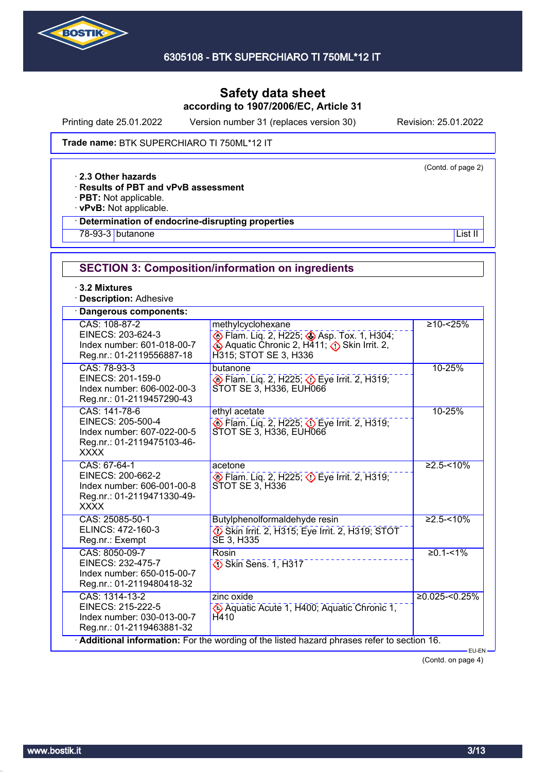

Printing date 25.01.2022 Version number 31 (replaces version 30) Revision: 25.01.2022

(Contd. of page 2)

#### Trade name: BTK SUPERCHIARO TI 750ML\*12 IT

· **2.3 Other hazards**

· **Results of PBT and vPvB assessment**

· **PBT:** Not applicable.

· **vPvB:** Not applicable.

### · **Determination of endocrine-disrupting properties**

<u>78-93-3</u> butanone List II and the List II and the List II and the List II and the List II and the List II and the List II and the List II and the List II and the List II and the List II and the List II and the List II and

# **SECTION 3: Composition/information on ingredients**

· **3.2 Mixtures**

· **Description:** Adhesive

| Dangerous components:                                                                                         |                                                                                                                                     |                   |
|---------------------------------------------------------------------------------------------------------------|-------------------------------------------------------------------------------------------------------------------------------------|-------------------|
| CAS: 108-87-2<br>EINECS: 203-624-3<br>Index number: 601-018-00-7<br>Reg.nr.: 01-2119556887-18                 | methylcyclohexane<br>Elam. Liq. 2, H225; Asp. Tox. 1, H304;<br>♦ Aquatic Chronic 2, H411; A Skin Irrit. 2,<br>H315; STOT SE 3, H336 | $≥10 - < 25%$     |
| CAS: 78-93-3<br>EINECS: 201-159-0<br>Index number: 606-002-00-3<br>Reg.nr.: 01-2119457290-43                  | butanone<br>Eye Irrit. 2, H319; Department 2, H319;<br>STOT SE 3, H336, EUH066                                                      | 10-25%            |
| CAS: 141-78-6<br>EINECS: 205-500-4<br>Index number: 607-022-00-5<br>Reg.nr.: 01-2119475103-46-<br><b>XXXX</b> | ethyl acetate<br>Eye Irrit. 2, H225; Depe Irrit. 2, H319;<br>STOT SE 3, H336, EUH066                                                | 10-25%            |
| CAS: 67-64-1<br>EINECS: 200-662-2<br>Index number: 606-001-00-8<br>Reg.nr.: 01-2119471330-49-<br><b>XXXX</b>  | acetone<br>Eye Irrit. 2, H319; Department 2, H319;<br>STOT SE 3, H336                                                               | $≥2.5 - 10%$      |
| CAS: 25085-50-1<br>ELINCS: 472-160-3<br>Reg.nr.: Exempt                                                       | Butylphenolformaldehyde resin<br>Skin Irrit. 2, H315; Eye Irrit. 2, H319; STOT<br>SE 3, H335                                        | $\geq 2.5 - 10\%$ |
| CAS: 8050-09-7<br>EINECS: 232-475-7<br>Index number: 650-015-00-7<br>Reg.nr.: 01-2119480418-32                | Rosin<br>Skin Sens. 1, H317                                                                                                         | $≥0.1 - 51%$      |
| CAS: 1314-13-2<br>EINECS: 215-222-5<br>Index number: 030-013-00-7<br>Reg.nr.: 01-2119463881-32                | zinc oxide<br>Aquatic Acute 1, H400; Aquatic Chronic 1,<br>H410                                                                     | $≥0.025 < 0.25\%$ |
|                                                                                                               | Additional information: For the wording of the listed hazard phrases refer to section 16.                                           | EU-EN-            |

(Contd. on page 4)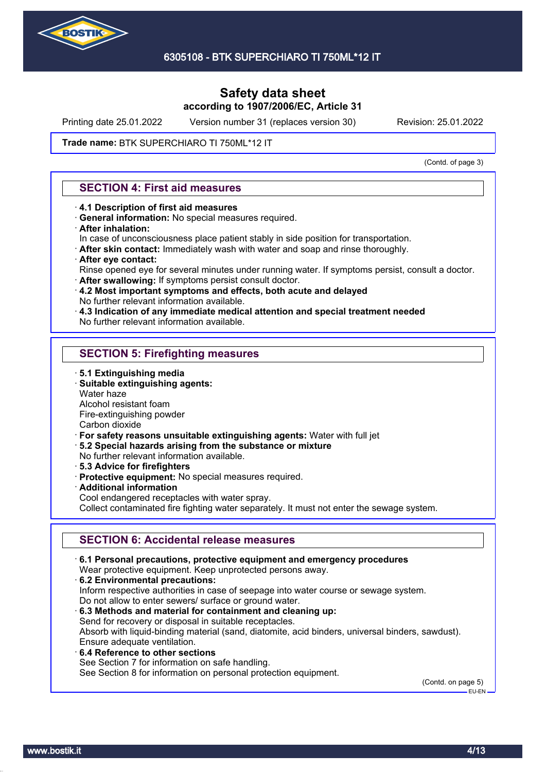

Printing date 25.01.2022 Version number 31 (replaces version 30) Revision: 25.01.2022

#### Trade name: BTK SUPERCHIARO TI 750ML\*12 IT

(Contd. of page 3)

### **SECTION 4: First aid measures**

- · **4.1 Description of first aid measures**
- · **General information:** No special measures required.
- · **After inhalation:**
- In case of unconsciousness place patient stably in side position for transportation.
- · **After skin contact:** Immediately wash with water and soap and rinse thoroughly.
- · **After eye contact:**
- Rinse opened eye for several minutes under running water. If symptoms persist, consult a doctor.
- · **After swallowing:** If symptoms persist consult doctor.
- · **4.2 Most important symptoms and effects, both acute and delayed** No further relevant information available.
- · **4.3 Indication of any immediate medical attention and special treatment needed**
- No further relevant information available.

### **SECTION 5: Firefighting measures**

- · **5.1 Extinguishing media**
- · **Suitable extinguishing agents:**
- Water haze
- Alcohol resistant foam
- Fire-extinguishing powder

Carbon dioxide

- · **For safety reasons unsuitable extinguishing agents:** Water with full jet
- · **5.2 Special hazards arising from the substance or mixture**
- No further relevant information available.
- · **5.3 Advice for firefighters**
- · **Protective equipment:** No special measures required.
- · **Additional information**
- Cool endangered receptacles with water spray.

Collect contaminated fire fighting water separately. It must not enter the sewage system.

## **SECTION 6: Accidental release measures**

· **6.1 Personal precautions, protective equipment and emergency procedures** Wear protective equipment. Keep unprotected persons away. · **6.2 Environmental precautions:** Inform respective authorities in case of seepage into water course or sewage system. Do not allow to enter sewers/ surface or ground water. · **6.3 Methods and material for containment and cleaning up:** Send for recovery or disposal in suitable receptacles. Absorb with liquid-binding material (sand, diatomite, acid binders, universal binders, sawdust). Ensure adequate ventilation. · **6.4 Reference to other sections** See Section 7 for information on safe handling. See Section 8 for information on personal protection equipment.

(Contd. on page 5) EU-EN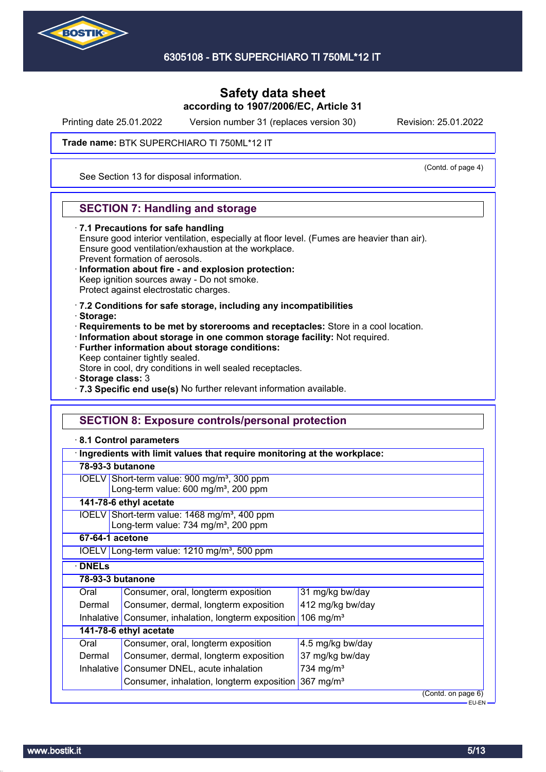

Printing date 25.01.2022 Version number 31 (replaces version 30) Revision: 25.01.2022

(Contd. of page 4)

Trade name: BTK SUPERCHIARO TI 750ML\*12 IT

See Section 13 for disposal information.

### **SECTION 7: Handling and storage**

· **7.1 Precautions for safe handling**

Ensure good interior ventilation, especially at floor level. (Fumes are heavier than air). Ensure good ventilation/exhaustion at the workplace. Prevent formation of aerosols.

- · **Information about fire and explosion protection:** Keep ignition sources away - Do not smoke.
- Protect against electrostatic charges.
- · **7.2 Conditions for safe storage, including any incompatibilities**
- · **Storage:**
- · **Requirements to be met by storerooms and receptacles:** Store in a cool location.
- · **Information about storage in one common storage facility:** Not required.
- · **Further information about storage conditions:**
- Keep container tightly sealed.

Store in cool, dry conditions in well sealed receptacles.

- · **Storage class:** 3
- · **7.3 Specific end use(s)** No further relevant information available.

### **SECTION 8: Exposure controls/personal protection**

#### · **8.1 Control parameters**

|                                                                                                             | Ingredients with limit values that require monitoring at the workplace:                                      |                       |  |  |  |
|-------------------------------------------------------------------------------------------------------------|--------------------------------------------------------------------------------------------------------------|-----------------------|--|--|--|
|                                                                                                             | 78-93-3 butanone                                                                                             |                       |  |  |  |
| IOELV Short-term value: 900 mg/m <sup>3</sup> , 300 ppm<br>Long-term value: 600 mg/m <sup>3</sup> , 200 ppm |                                                                                                              |                       |  |  |  |
|                                                                                                             | 141-78-6 ethyl acetate                                                                                       |                       |  |  |  |
|                                                                                                             | IOELV Short-term value: 1468 mg/m <sup>3</sup> , 400 ppm<br>Long-term value: 734 mg/m <sup>3</sup> , 200 ppm |                       |  |  |  |
|                                                                                                             | 67-64-1 acetone                                                                                              |                       |  |  |  |
|                                                                                                             | IOELV Long-term value: $1210$ mg/m <sup>3</sup> , 500 ppm                                                    |                       |  |  |  |
| <b>DNELS</b>                                                                                                |                                                                                                              |                       |  |  |  |
| 78-93-3 butanone                                                                                            |                                                                                                              |                       |  |  |  |
| Oral                                                                                                        | Consumer, oral, longterm exposition                                                                          | 31 mg/kg bw/day       |  |  |  |
| Dermal                                                                                                      | Consumer, dermal, longterm exposition                                                                        | 412 mg/kg bw/day      |  |  |  |
| Inhalative                                                                                                  | 106 mg/m <sup>3</sup><br>Consumer, inhalation, longterm exposition                                           |                       |  |  |  |
|                                                                                                             | 141-78-6 ethyl acetate                                                                                       |                       |  |  |  |
| Oral                                                                                                        | Consumer, oral, longterm exposition                                                                          | 4.5 mg/kg bw/day      |  |  |  |
| Dermal                                                                                                      | Consumer, dermal, longterm exposition                                                                        | 37 mg/kg bw/day       |  |  |  |
|                                                                                                             | Inhalative Consumer DNEL, acute inhalation                                                                   | 734 mg/m <sup>3</sup> |  |  |  |
|                                                                                                             | 367 mg/ $m3$<br>Consumer, inhalation, longterm exposition                                                    |                       |  |  |  |
|                                                                                                             |                                                                                                              | (Contd. on page 6)    |  |  |  |
|                                                                                                             |                                                                                                              | EU-EN-                |  |  |  |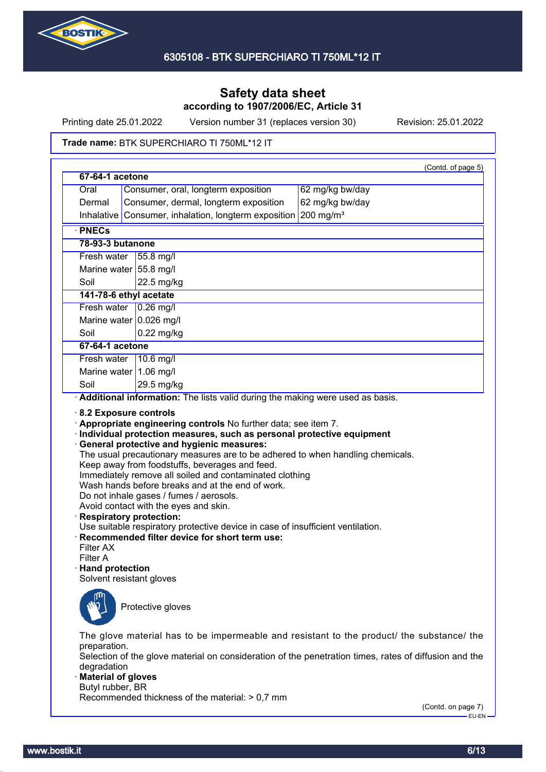

Printing date 25.01.2022 Version number 31 (replaces version 30) Revision: 25.01.2022

#### Trade name: BTK SUPERCHIARO TI 750ML\*12 IT

|                                      | 67-64-1 acetone                                                                                                                                                                                                                                                                                                                                                                                                 |
|--------------------------------------|-----------------------------------------------------------------------------------------------------------------------------------------------------------------------------------------------------------------------------------------------------------------------------------------------------------------------------------------------------------------------------------------------------------------|
| Oral                                 | Consumer, oral, longterm exposition<br>62 mg/kg bw/day                                                                                                                                                                                                                                                                                                                                                          |
| Dermal                               | Consumer, dermal, longterm exposition<br>62 mg/kg bw/day                                                                                                                                                                                                                                                                                                                                                        |
| Inhalative                           | $200$ mg/m <sup>3</sup><br>Consumer, inhalation, longterm exposition                                                                                                                                                                                                                                                                                                                                            |
| · PNECs                              |                                                                                                                                                                                                                                                                                                                                                                                                                 |
| 78-93-3 butanone                     |                                                                                                                                                                                                                                                                                                                                                                                                                 |
| Fresh water                          | $ 55.8 \text{ mg}/I$                                                                                                                                                                                                                                                                                                                                                                                            |
|                                      | Marine water 55.8 mg/l                                                                                                                                                                                                                                                                                                                                                                                          |
| Soil                                 | 22.5 mg/kg                                                                                                                                                                                                                                                                                                                                                                                                      |
|                                      | 141-78-6 ethyl acetate                                                                                                                                                                                                                                                                                                                                                                                          |
|                                      | Fresh water 0.26 mg/l                                                                                                                                                                                                                                                                                                                                                                                           |
|                                      | Marine water $0.026$ mg/l                                                                                                                                                                                                                                                                                                                                                                                       |
| Soil                                 | $0.22$ mg/kg                                                                                                                                                                                                                                                                                                                                                                                                    |
| 67-64-1 acetone                      |                                                                                                                                                                                                                                                                                                                                                                                                                 |
| Fresh water                          | $10.6$ mg/l                                                                                                                                                                                                                                                                                                                                                                                                     |
|                                      | Marine water $1.06$ mg/l                                                                                                                                                                                                                                                                                                                                                                                        |
| Soil                                 | 29.5 mg/kg                                                                                                                                                                                                                                                                                                                                                                                                      |
|                                      | 8.2 Exposure controls<br>Appropriate engineering controls No further data; see item 7.<br>· Individual protection measures, such as personal protective equipment<br>· General protective and hygienic measures:<br>The usual precautionary measures are to be adhered to when handling chemicals.<br>Keep away from foodstuffs, beverages and feed.<br>Immediately remove all soiled and contaminated clothing |
| Filter A                             | Wash hands before breaks and at the end of work.<br>Do not inhale gases / fumes / aerosols.<br>Avoid contact with the eyes and skin.<br>· Respiratory protection:<br>Use suitable respiratory protective device in case of insufficient ventilation.<br>· Recommended filter device for short term use:                                                                                                         |
| Filter AX<br>$\cdot$ Hand protection | Solvent resistant gloves<br>Protective gloves                                                                                                                                                                                                                                                                                                                                                                   |

(Contd. on page 7)  $-EU-EN$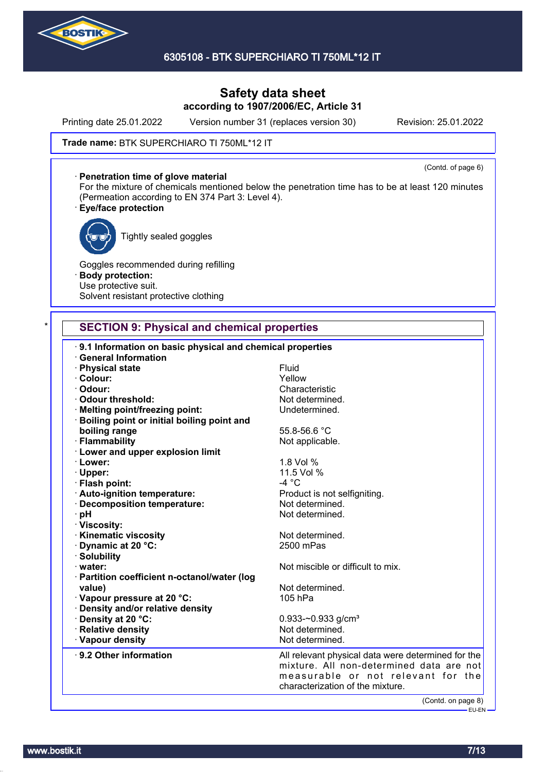

Printing date 25.01.2022 Version number 31 (replaces version 30) Revision: 25.01.2022

#### Trade name: BTK SUPERCHIARO TI 750ML\*12 IT

(Contd. of page 6) · **Penetration time of glove material** For the mixture of chemicals mentioned below the penetration time has to be at least 120 minutes (Permeation according to EN 374 Part 3: Level 4).

### · **Eye/face protection**



Tightly sealed goggles

Goggles recommended during refilling · **Body protection:** Use protective suit. Solvent resistant protective clothing

### **SECTION 9: Physical and chemical properties**

| 9.1 Information on basic physical and chemical properties<br><b>General Information</b> |                                                                                                |
|-----------------------------------------------------------------------------------------|------------------------------------------------------------------------------------------------|
| · Physical state                                                                        | Fluid                                                                                          |
| · Colour:                                                                               | Yellow                                                                                         |
| Odour:                                                                                  | Characteristic                                                                                 |
|                                                                                         |                                                                                                |
| Odour threshold:                                                                        | Not determined.                                                                                |
| · Melting point/freezing point:                                                         | Undetermined.                                                                                  |
| <b>Boiling point or initial boiling point and</b>                                       |                                                                                                |
| boiling range                                                                           | 55.8-56.6 °C                                                                                   |
| · Flammability                                                                          | Not applicable.                                                                                |
| <b>Lower and upper explosion limit</b>                                                  |                                                                                                |
| · Lower:                                                                                | 1.8 Vol %                                                                                      |
| · Upper:                                                                                | 11.5 Vol %                                                                                     |
| · Flash point:                                                                          | $-4 °C$                                                                                        |
| · Auto-ignition temperature:                                                            | Product is not selfigniting.                                                                   |
| · Decomposition temperature:                                                            | Not determined.                                                                                |
| ∙ pH                                                                                    | Not determined.                                                                                |
| · Viscosity:                                                                            |                                                                                                |
| <b>Kinematic viscosity</b>                                                              | Not determined.                                                                                |
| Dynamic at 20 °C:                                                                       | 2500 mPas                                                                                      |
| · Solubility                                                                            |                                                                                                |
| $\cdot$ water:                                                                          | Not miscible or difficult to mix.                                                              |
| · Partition coefficient n-octanol/water (log                                            |                                                                                                |
| value)                                                                                  | Not determined.                                                                                |
| · Vapour pressure at 20 °C:                                                             | 105 hPa                                                                                        |
| · Density and/or relative density                                                       |                                                                                                |
| · Density at 20 °C:                                                                     | 0.933-~0.933 g/cm <sup>3</sup>                                                                 |
| · Relative density                                                                      | Not determined.                                                                                |
| · Vapour density                                                                        | Not determined.                                                                                |
|                                                                                         |                                                                                                |
| ⋅ 9.2 Other information                                                                 | All relevant physical data were determined for the<br>mixture. All non-determined data are not |
|                                                                                         |                                                                                                |
|                                                                                         | measurable or not relevant for the<br>characterization of the mixture.                         |
|                                                                                         |                                                                                                |
|                                                                                         | (Contd. on page 8)                                                                             |
|                                                                                         | <b>EU-EN-</b>                                                                                  |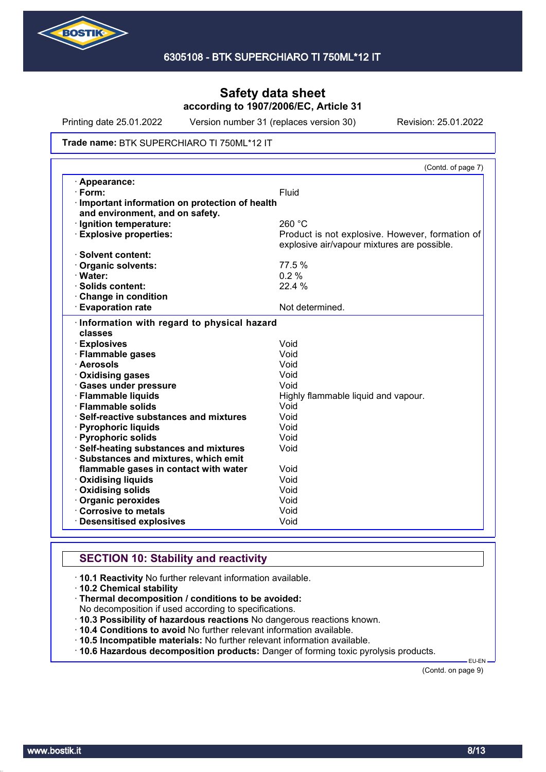

Printing date 25.01.2022 Version number 31 (replaces version 30) Revision: 25.01.2022

#### Trade name: BTK SUPERCHIARO TI 750ML\*12 IT

|                                                       | (Contd. of page 7)                              |
|-------------------------------------------------------|-------------------------------------------------|
| · Appearance:                                         |                                                 |
| $\cdot$ Form:                                         | Fluid                                           |
| Important information on protection of health         |                                                 |
| and environment, and on safety.                       |                                                 |
| · Ignition temperature:                               | 260 °C                                          |
| <b>Explosive properties:</b>                          | Product is not explosive. However, formation of |
|                                                       | explosive air/vapour mixtures are possible.     |
| · Solvent content:                                    |                                                 |
| <b>Organic solvents:</b>                              | 77.5 %                                          |
| · Water:                                              | 0.2%                                            |
| · Solids content:                                     | 22.4 %                                          |
| Change in condition                                   |                                                 |
| <b>Evaporation rate</b>                               | Not determined.                                 |
| · Explosives                                          | Void<br>Void                                    |
| Information with regard to physical hazard<br>classes |                                                 |
| · Flammable gases                                     |                                                 |
| · Aerosols                                            | Void                                            |
| Oxidising gases                                       | Void                                            |
| <b>Gases under pressure</b>                           | Void                                            |
| · Flammable liquids                                   | Highly flammable liquid and vapour.             |
| · Flammable solids                                    | Void                                            |
| $\cdot$ Self-reactive substances and mixtures         | Void                                            |
| · Pyrophoric liquids                                  | Void                                            |
| · Pyrophoric solids                                   | Void                                            |
| <b>Self-heating substances and mixtures</b>           | Void                                            |
| Substances and mixtures, which emit                   |                                                 |
| flammable gases in contact with water                 | Void                                            |
| <b>Oxidising liquids</b>                              | Void                                            |
|                                                       |                                                 |
| Oxidising solids                                      | Void                                            |
|                                                       | Void                                            |
| Organic peroxides<br>Corrosive to metals              | Void                                            |

# **SECTION 10: Stability and reactivity**

- · **10.1 Reactivity** No further relevant information available.
- · **10.2 Chemical stability**
- · **Thermal decomposition / conditions to be avoided:**

No decomposition if used according to specifications.

- · **10.3 Possibility of hazardous reactions** No dangerous reactions known.
- · **10.4 Conditions to avoid** No further relevant information available.
- · **10.5 Incompatible materials:** No further relevant information available.
- · **10.6 Hazardous decomposition products:** Danger of forming toxic pyrolysis products.

(Contd. on page 9)

EU-EN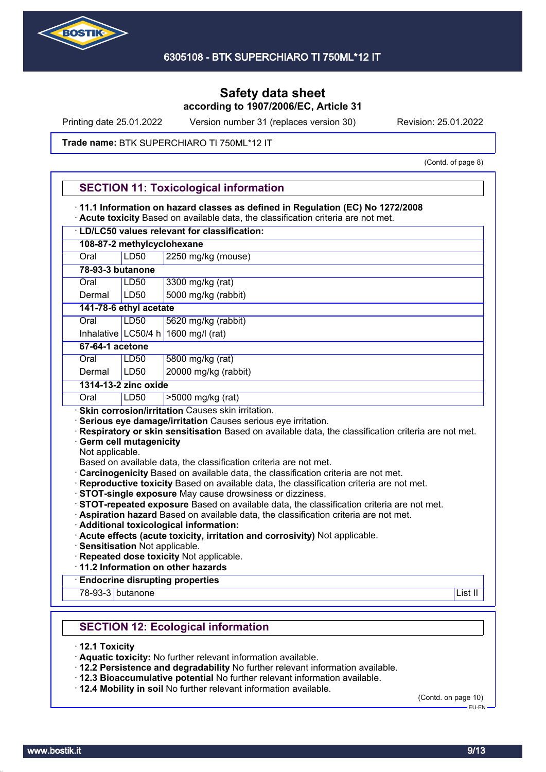

Printing date 25.01.2022 Version number 31 (replaces version 30) Revision: 25.01.2022

#### Trade name: BTK SUPERCHIARO TI 750ML\*12 IT

(Contd. of page 8)

|                  | 11.1 Information on hazard classes as defined in Regulation (EC) No 1272/2008 | Acute toxicity Based on available data, the classification criteria are not met.                                                                                                                                                                                                                                                                                                                                        |
|------------------|-------------------------------------------------------------------------------|-------------------------------------------------------------------------------------------------------------------------------------------------------------------------------------------------------------------------------------------------------------------------------------------------------------------------------------------------------------------------------------------------------------------------|
|                  |                                                                               | · LD/LC50 values relevant for classification:                                                                                                                                                                                                                                                                                                                                                                           |
|                  | 108-87-2 methylcyclohexane                                                    |                                                                                                                                                                                                                                                                                                                                                                                                                         |
| Oral             | <b>LD50</b>                                                                   | 2250 mg/kg (mouse)                                                                                                                                                                                                                                                                                                                                                                                                      |
| 78-93-3 butanone |                                                                               |                                                                                                                                                                                                                                                                                                                                                                                                                         |
| Oral             | <b>LD50</b>                                                                   | 3300 mg/kg (rat)                                                                                                                                                                                                                                                                                                                                                                                                        |
| Dermal           | LD50                                                                          | 5000 mg/kg (rabbit)                                                                                                                                                                                                                                                                                                                                                                                                     |
|                  | 141-78-6 ethyl acetate                                                        |                                                                                                                                                                                                                                                                                                                                                                                                                         |
| Oral             | LD50                                                                          | 5620 mg/kg (rabbit)                                                                                                                                                                                                                                                                                                                                                                                                     |
|                  |                                                                               | Inhalative LC50/4 h 1600 mg/l (rat)                                                                                                                                                                                                                                                                                                                                                                                     |
| 67-64-1 acetone  |                                                                               |                                                                                                                                                                                                                                                                                                                                                                                                                         |
| Oral             | LD50                                                                          | 5800 mg/kg (rat)                                                                                                                                                                                                                                                                                                                                                                                                        |
| Dermal           | LD <sub>50</sub>                                                              | 20000 mg/kg (rabbit)                                                                                                                                                                                                                                                                                                                                                                                                    |
|                  | 1314-13-2 zinc oxide                                                          |                                                                                                                                                                                                                                                                                                                                                                                                                         |
| Oral             | LD50                                                                          | >5000 mg/kg (rat)                                                                                                                                                                                                                                                                                                                                                                                                       |
| Not applicable.  | <b>Germ cell mutagenicity</b>                                                 | Respiratory or skin sensitisation Based on available data, the classification criteria are not met.<br>Based on available data, the classification criteria are not met.<br>Carcinogenicity Based on available data, the classification criteria are not met.<br>· Reproductive toxicity Based on available data, the classification criteria are not met.                                                              |
|                  | Sensitisation Not applicable.                                                 | · STOT-single exposure May cause drowsiness or dizziness.<br>· STOT-repeated exposure Based on available data, the classification criteria are not met.<br>· Aspiration hazard Based on available data, the classification criteria are not met.<br>· Additional toxicological information:<br>· Acute effects (acute toxicity, irritation and corrosivity) Not applicable.<br>· Repeated dose toxicity Not applicable. |
|                  |                                                                               | 11.2 Information on other hazards<br><b>Endocrine disrupting properties</b>                                                                                                                                                                                                                                                                                                                                             |
| 78-93-3 butanone |                                                                               | List II                                                                                                                                                                                                                                                                                                                                                                                                                 |
|                  |                                                                               | <b>SECTION 12: Ecological information</b>                                                                                                                                                                                                                                                                                                                                                                               |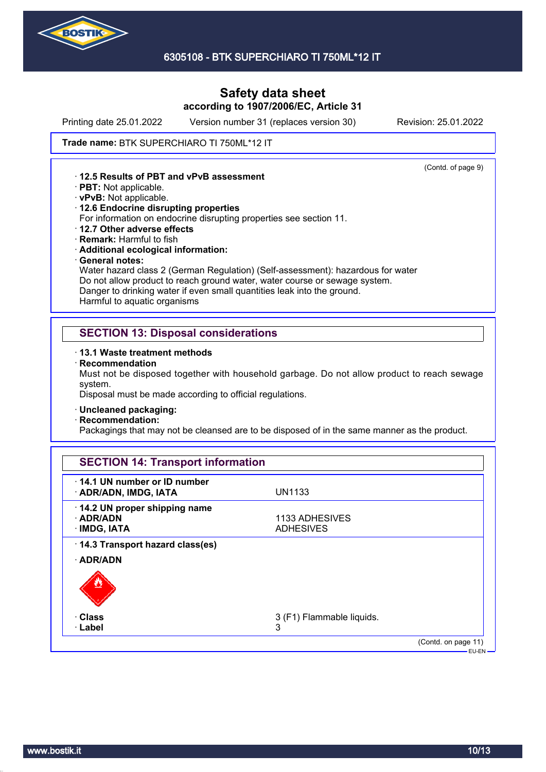

Printing date 25.01.2022 Version number 31 (replaces version 30) Revision: 25.01.2022

(Contd. of page 9)

#### Trade name: BTK SUPERCHIARO TI 750ML\*12 IT

· **12.5 Results of PBT and vPvB assessment**

- · **PBT:** Not applicable.
- · **vPvB:** Not applicable.
- · **12.6 Endocrine disrupting properties**

For information on endocrine disrupting properties see section 11.

- · **12.7 Other adverse effects**
- · **Remark:** Harmful to fish
- · **Additional ecological information:**
- · **General notes:**

Water hazard class 2 (German Regulation) (Self-assessment): hazardous for water Do not allow product to reach ground water, water course or sewage system. Danger to drinking water if even small quantities leak into the ground. Harmful to aquatic organisms

### **SECTION 13: Disposal considerations**

- · **13.1 Waste treatment methods**
- · **Recommendation**

Must not be disposed together with household garbage. Do not allow product to reach sewage system.

Disposal must be made according to official regulations.

- · **Uncleaned packaging:**
- · **Recommendation:**

Packagings that may not be cleansed are to be disposed of in the same manner as the product.

| 14.1 UN number or ID number                  |                           |  |
|----------------------------------------------|---------------------------|--|
| · ADR/ADN, IMDG, IATA                        | <b>UN1133</b>             |  |
| 14.2 UN proper shipping name                 |                           |  |
| $\cdot$ ADR/ADN                              | 1133 ADHESIVES            |  |
| · IMDG, IATA                                 | <b>ADHESIVES</b>          |  |
| 14.3 Transport hazard class(es)<br>· ADR/ADN |                           |  |
| · Class                                      | 3 (F1) Flammable liquids. |  |
|                                              | 3                         |  |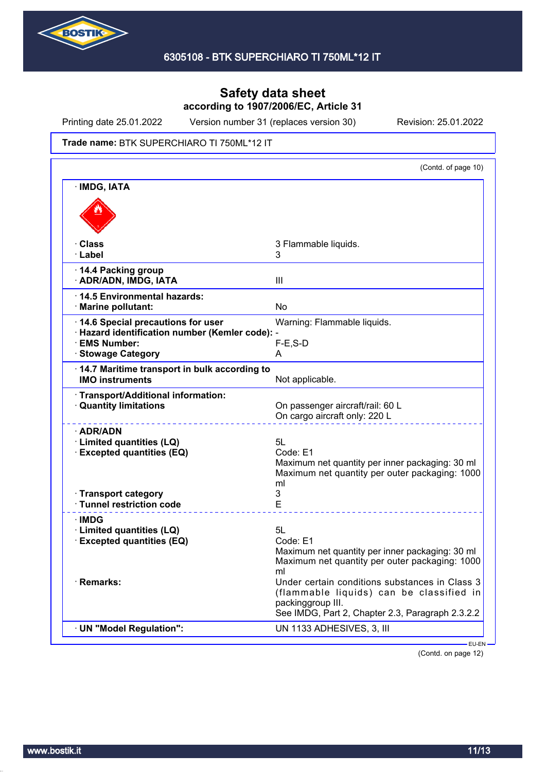

Printing date 25.01.2022 Version number 31 (replaces version 30) Revision: 25.01.2022

#### Trade name: BTK SUPERCHIARO TI 750ML\*12 IT

|                                                                                                                             | (Contd. of page 10)                                                                                                                                                 |
|-----------------------------------------------------------------------------------------------------------------------------|---------------------------------------------------------------------------------------------------------------------------------------------------------------------|
| · IMDG, IATA                                                                                                                |                                                                                                                                                                     |
|                                                                                                                             |                                                                                                                                                                     |
| · Class<br>· Label                                                                                                          | 3 Flammable liquids.<br>3                                                                                                                                           |
| 14.4 Packing group<br>· ADR/ADN, IMDG, IATA                                                                                 | III                                                                                                                                                                 |
| ⋅14.5 Environmental hazards:<br>· Marine pollutant:                                                                         | No                                                                                                                                                                  |
| 14.6 Special precautions for user<br>· Hazard identification number (Kemler code): -<br>· EMS Number:<br>· Stowage Category | Warning: Flammable liquids.<br>$F-E$ , S-D<br>A                                                                                                                     |
| 14.7 Maritime transport in bulk according to<br><b>IMO instruments</b>                                                      | Not applicable.                                                                                                                                                     |
| · Transport/Additional information:<br><b>Quantity limitations</b>                                                          | On passenger aircraft/rail: 60 L<br>On cargo aircraft only: 220 L                                                                                                   |
| · ADR/ADN<br>· Limited quantities (LQ)<br><b>Excepted quantities (EQ)</b>                                                   | 5L<br>Code: E1<br>Maximum net quantity per inner packaging: 30 ml<br>Maximum net quantity per outer packaging: 1000<br>ml                                           |
| · Transport category<br>· Tunnel restriction code                                                                           | 3<br>E                                                                                                                                                              |
| <b>IMDG</b><br>· Limited quantities (LQ)<br><b>Excepted quantities (EQ)</b>                                                 | 5L<br>Code: E1<br>Maximum net quantity per inner packaging: 30 ml<br>Maximum net quantity per outer packaging: 1000<br>ml                                           |
| · Remarks:                                                                                                                  | Under certain conditions substances in Class 3<br>(flammable liquids) can be classified in<br>packinggroup III.<br>See IMDG, Part 2, Chapter 2.3, Paragraph 2.3.2.2 |
|                                                                                                                             |                                                                                                                                                                     |

(Contd. on page 12)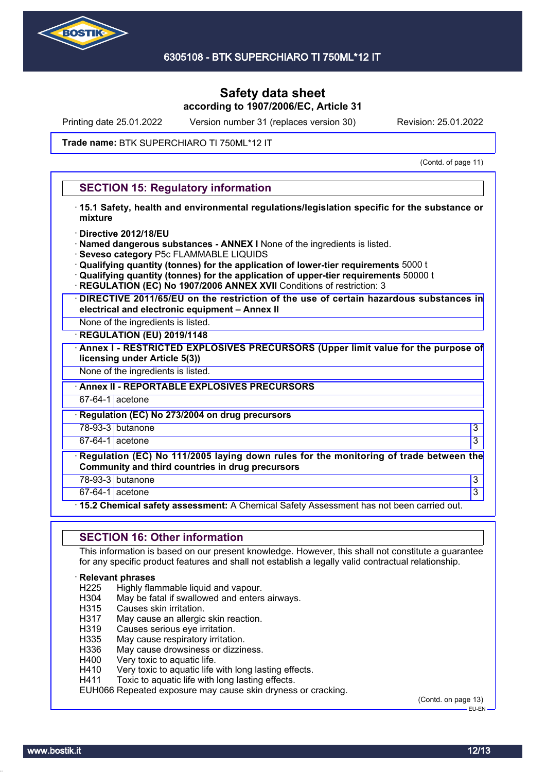

Printing date 25.01.2022 Version number 31 (replaces version 30) Revision: 25.01.2022

#### Trade name: BTK SUPERCHIARO TI 750ML\*12 IT

(Contd. of page 11)

### **SECTION 15: Regulatory information**

- · **15.1 Safety, health and environmental regulations/legislation specific for the substance or mixture**
- · **Directive 2012/18/EU**
- · **Named dangerous substances ANNEX I** None of the ingredients is listed.
- · **Seveso category** P5c FLAMMABLE LIQUIDS
- · **Qualifying quantity (tonnes) for the application of lower-tier requirements** 5000 t
- · **Qualifying quantity (tonnes) for the application of upper-tier requirements** 50000 t
- **REGULATION (EC) No 1907/2006 ANNEX XVII** Conditions of restriction: 3
- · **DIRECTIVE 2011/65/EU on the restriction of the use of certain hazardous substances in electrical and electronic equipment – Annex II**
- None of the ingredients is listed.
- · **REGULATION (EU) 2019/1148**
- · **Annex I RESTRICTED EXPLOSIVES PRECURSORS (Upper limit value for the purpose of licensing under Article 5(3))**

None of the ingredients is listed.

· **Annex II - REPORTABLE EXPLOSIVES PRECURSORS**

67-64-1 acetone

· **Regulation (EC) No 273/2004 on drug precursors**

78-93-3 butanone 3

 $67-64-1$  acetone  $\hspace{1.5cm}$  3

· **Regulation (EC) No 111/2005 laying down rules for the monitoring of trade between the Community and third countries in drug precursors**

78-93-3 butanone 3

67-64-1 acetone 3

· **15.2 Chemical safety assessment:** A Chemical Safety Assessment has not been carried out.

### **SECTION 16: Other information**

This information is based on our present knowledge. However, this shall not constitute a guarantee for any specific product features and shall not establish a legally valid contractual relationship.

#### · **Relevant phrases**

- H225 Highly flammable liquid and vapour.<br>H304 May be fatal if swallowed and enters
- H304 May be fatal if swallowed and enters airways.<br>H315 Causes skin irritation.
- Causes skin irritation.
- H317 May cause an allergic skin reaction.
- H319 Causes serious eye irritation.
- H335 May cause respiratory irritation.
- H336 May cause drowsiness or dizziness.
- H400 Very toxic to aquatic life.
- H410 Very toxic to aquatic life with long lasting effects.
- H411 Toxic to aquatic life with long lasting effects.

EUH066 Repeated exposure may cause skin dryness or cracking.

(Contd. on page 13)